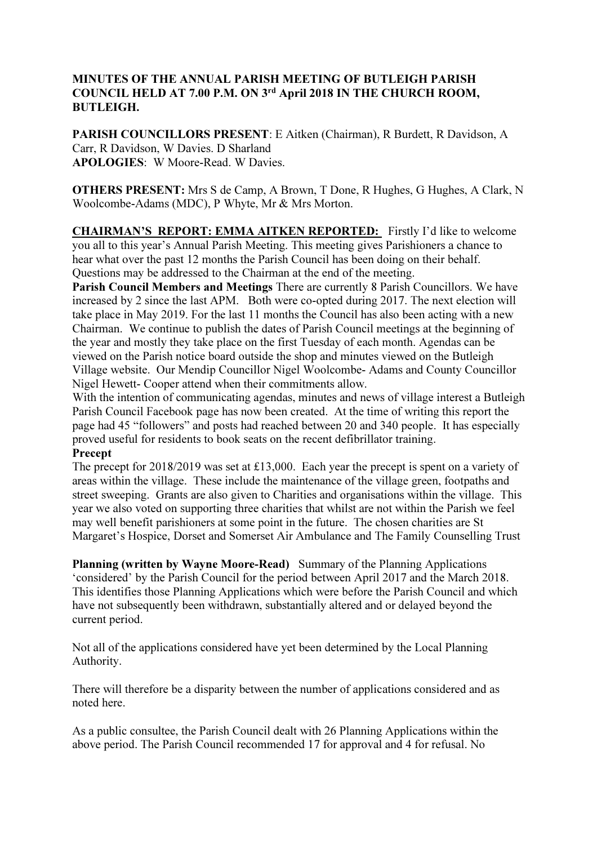# MINUTES OF THE ANNUAL PARISH MEETING OF BUTLEIGH PARISH COUNCIL HELD AT 7.00 P.M. ON 3rd April 2018 IN THE CHURCH ROOM, BUTLEIGH.

PARISH COUNCILLORS PRESENT: E Aitken (Chairman), R Burdett, R Davidson, A Carr, R Davidson, W Davies. D Sharland APOLOGIES: W Moore-Read. W Davies.

OTHERS PRESENT: Mrs S de Camp, A Brown, T Done, R Hughes, G Hughes, A Clark, N Woolcombe-Adams (MDC), P Whyte, Mr & Mrs Morton.

CHAIRMAN'S REPORT: EMMA AITKEN REPORTED: Firstly I'd like to welcome you all to this year's Annual Parish Meeting. This meeting gives Parishioners a chance to hear what over the past 12 months the Parish Council has been doing on their behalf. Questions may be addressed to the Chairman at the end of the meeting.

Parish Council Members and Meetings There are currently 8 Parish Councillors. We have increased by 2 since the last APM. Both were co-opted during 2017. The next election will take place in May 2019. For the last 11 months the Council has also been acting with a new Chairman. We continue to publish the dates of Parish Council meetings at the beginning of the year and mostly they take place on the first Tuesday of each month. Agendas can be viewed on the Parish notice board outside the shop and minutes viewed on the Butleigh Village website. Our Mendip Councillor Nigel Woolcombe- Adams and County Councillor Nigel Hewett- Cooper attend when their commitments allow.

With the intention of communicating agendas, minutes and news of village interest a Butleigh Parish Council Facebook page has now been created. At the time of writing this report the page had 45 "followers" and posts had reached between 20 and 340 people. It has especially proved useful for residents to book seats on the recent defibrillator training.

#### Precept

The precept for 2018/2019 was set at £13,000. Each year the precept is spent on a variety of areas within the village. These include the maintenance of the village green, footpaths and street sweeping. Grants are also given to Charities and organisations within the village. This year we also voted on supporting three charities that whilst are not within the Parish we feel may well benefit parishioners at some point in the future. The chosen charities are St Margaret's Hospice, Dorset and Somerset Air Ambulance and The Family Counselling Trust

Planning (written by Wayne Moore-Read) Summary of the Planning Applications 'considered' by the Parish Council for the period between April 2017 and the March 2018. This identifies those Planning Applications which were before the Parish Council and which have not subsequently been withdrawn, substantially altered and or delayed beyond the current period.

Not all of the applications considered have yet been determined by the Local Planning Authority.

There will therefore be a disparity between the number of applications considered and as noted here.

As a public consultee, the Parish Council dealt with 26 Planning Applications within the above period. The Parish Council recommended 17 for approval and 4 for refusal. No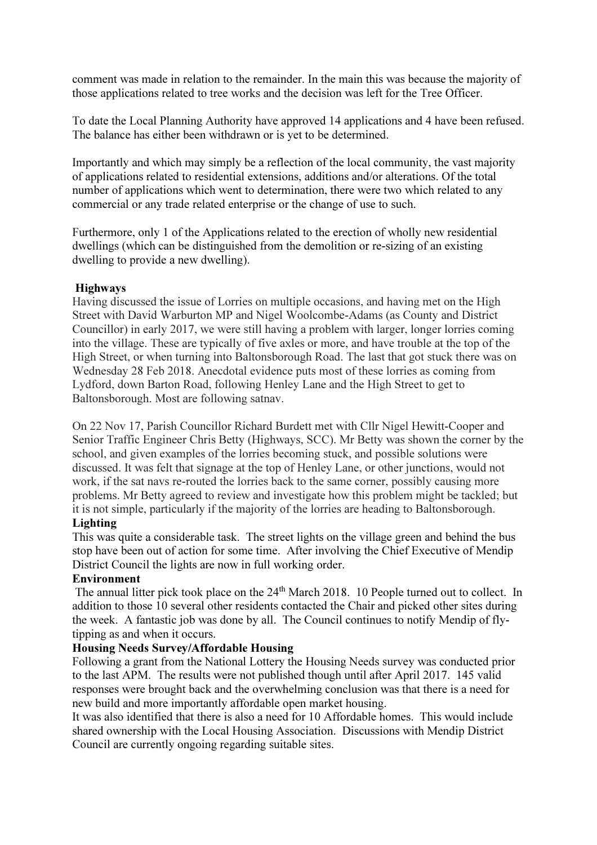comment was made in relation to the remainder. In the main this was because the majority of those applications related to tree works and the decision was left for the Tree Officer.

To date the Local Planning Authority have approved 14 applications and 4 have been refused. The balance has either been withdrawn or is yet to be determined.

Importantly and which may simply be a reflection of the local community, the vast majority of applications related to residential extensions, additions and/or alterations. Of the total number of applications which went to determination, there were two which related to any commercial or any trade related enterprise or the change of use to such.

Furthermore, only 1 of the Applications related to the erection of wholly new residential dwellings (which can be distinguished from the demolition or re-sizing of an existing dwelling to provide a new dwelling).

## Highways

Having discussed the issue of Lorries on multiple occasions, and having met on the High Street with David Warburton MP and Nigel Woolcombe-Adams (as County and District Councillor) in early 2017, we were still having a problem with larger, longer lorries coming into the village. These are typically of five axles or more, and have trouble at the top of the High Street, or when turning into Baltonsborough Road. The last that got stuck there was on Wednesday 28 Feb 2018. Anecdotal evidence puts most of these lorries as coming from Lydford, down Barton Road, following Henley Lane and the High Street to get to Baltonsborough. Most are following satnav.

On 22 Nov 17, Parish Councillor Richard Burdett met with Cllr Nigel Hewitt-Cooper and Senior Traffic Engineer Chris Betty (Highways, SCC). Mr Betty was shown the corner by the school, and given examples of the lorries becoming stuck, and possible solutions were discussed. It was felt that signage at the top of Henley Lane, or other junctions, would not work, if the sat navs re-routed the lorries back to the same corner, possibly causing more problems. Mr Betty agreed to review and investigate how this problem might be tackled; but it is not simple, particularly if the majority of the lorries are heading to Baltonsborough.

# Lighting

This was quite a considerable task. The street lights on the village green and behind the bus stop have been out of action for some time. After involving the Chief Executive of Mendip District Council the lights are now in full working order.

# Environment

The annual litter pick took place on the 24<sup>th</sup> March 2018. 10 People turned out to collect. In addition to those 10 several other residents contacted the Chair and picked other sites during the week. A fantastic job was done by all. The Council continues to notify Mendip of flytipping as and when it occurs.

#### Housing Needs Survey/Affordable Housing

Following a grant from the National Lottery the Housing Needs survey was conducted prior to the last APM. The results were not published though until after April 2017. 145 valid responses were brought back and the overwhelming conclusion was that there is a need for new build and more importantly affordable open market housing.

It was also identified that there is also a need for 10 Affordable homes. This would include shared ownership with the Local Housing Association. Discussions with Mendip District Council are currently ongoing regarding suitable sites.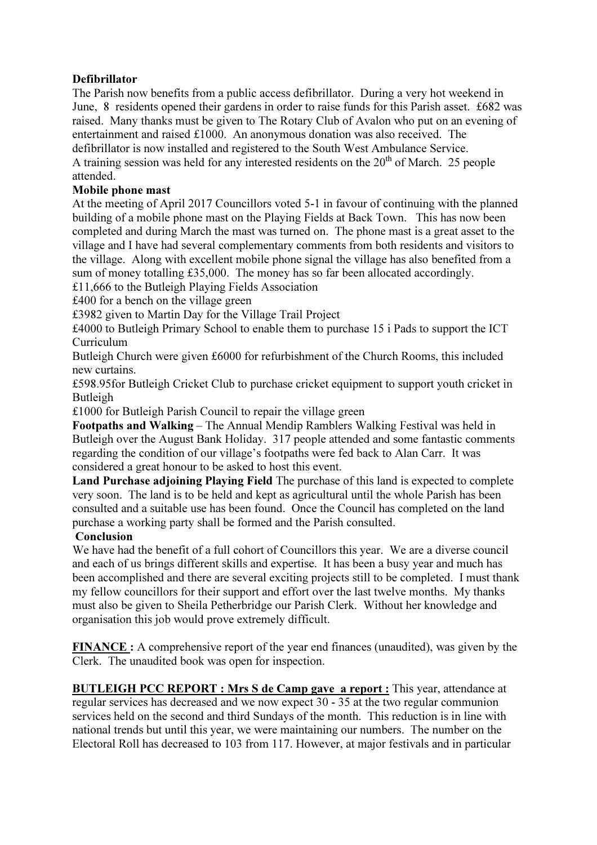# Defibrillator

The Parish now benefits from a public access defibrillator. During a very hot weekend in June, 8 residents opened their gardens in order to raise funds for this Parish asset. £682 was raised. Many thanks must be given to The Rotary Club of Avalon who put on an evening of entertainment and raised £1000. An anonymous donation was also received. The defibrillator is now installed and registered to the South West Ambulance Service. A training session was held for any interested residents on the  $20<sup>th</sup>$  of March. 25 people attended.

## Mobile phone mast

At the meeting of April 2017 Councillors voted 5-1 in favour of continuing with the planned building of a mobile phone mast on the Playing Fields at Back Town. This has now been completed and during March the mast was turned on. The phone mast is a great asset to the village and I have had several complementary comments from both residents and visitors to the village. Along with excellent mobile phone signal the village has also benefited from a sum of money totalling £35,000. The money has so far been allocated accordingly.

£11,666 to the Butleigh Playing Fields Association

£400 for a bench on the village green

£3982 given to Martin Day for the Village Trail Project

£4000 to Butleigh Primary School to enable them to purchase 15 i Pads to support the ICT Curriculum

Butleigh Church were given £6000 for refurbishment of the Church Rooms, this included new curtains.

£598.95for Butleigh Cricket Club to purchase cricket equipment to support youth cricket in Butleigh

£1000 for Butleigh Parish Council to repair the village green

Footpaths and Walking – The Annual Mendip Ramblers Walking Festival was held in Butleigh over the August Bank Holiday. 317 people attended and some fantastic comments regarding the condition of our village's footpaths were fed back to Alan Carr. It was considered a great honour to be asked to host this event.

Land Purchase adjoining Playing Field The purchase of this land is expected to complete very soon. The land is to be held and kept as agricultural until the whole Parish has been consulted and a suitable use has been found. Once the Council has completed on the land purchase a working party shall be formed and the Parish consulted.

#### Conclusion

We have had the benefit of a full cohort of Councillors this year. We are a diverse council and each of us brings different skills and expertise. It has been a busy year and much has been accomplished and there are several exciting projects still to be completed. I must thank my fellow councillors for their support and effort over the last twelve months. My thanks must also be given to Sheila Petherbridge our Parish Clerk. Without her knowledge and organisation this job would prove extremely difficult.

FINANCE : A comprehensive report of the year end finances (unaudited), was given by the Clerk. The unaudited book was open for inspection.

BUTLEIGH PCC REPORT : Mrs S de Camp gave a report : This year, attendance at regular services has decreased and we now expect 30 - 35 at the two regular communion services held on the second and third Sundays of the month. This reduction is in line with national trends but until this year, we were maintaining our numbers. The number on the Electoral Roll has decreased to 103 from 117. However, at major festivals and in particular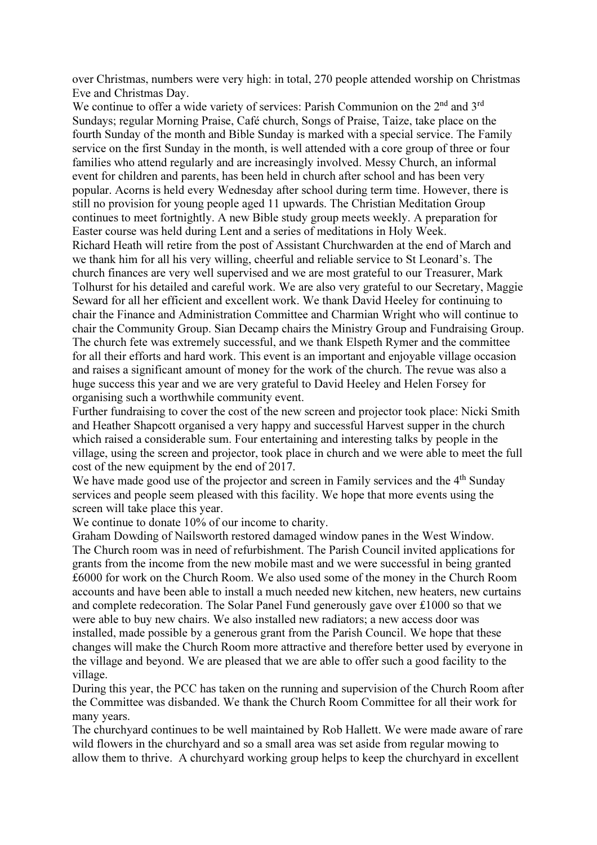over Christmas, numbers were very high: in total, 270 people attended worship on Christmas Eve and Christmas Day.

We continue to offer a wide variety of services: Parish Communion on the 2<sup>nd</sup> and 3<sup>rd</sup> Sundays; regular Morning Praise, Café church, Songs of Praise, Taize, take place on the fourth Sunday of the month and Bible Sunday is marked with a special service. The Family service on the first Sunday in the month, is well attended with a core group of three or four families who attend regularly and are increasingly involved. Messy Church, an informal event for children and parents, has been held in church after school and has been very popular. Acorns is held every Wednesday after school during term time. However, there is still no provision for young people aged 11 upwards. The Christian Meditation Group continues to meet fortnightly. A new Bible study group meets weekly. A preparation for Easter course was held during Lent and a series of meditations in Holy Week. Richard Heath will retire from the post of Assistant Churchwarden at the end of March and we thank him for all his very willing, cheerful and reliable service to St Leonard's. The church finances are very well supervised and we are most grateful to our Treasurer, Mark Tolhurst for his detailed and careful work. We are also very grateful to our Secretary, Maggie Seward for all her efficient and excellent work. We thank David Heeley for continuing to chair the Finance and Administration Committee and Charmian Wright who will continue to chair the Community Group. Sian Decamp chairs the Ministry Group and Fundraising Group. The church fete was extremely successful, and we thank Elspeth Rymer and the committee for all their efforts and hard work. This event is an important and enjoyable village occasion and raises a significant amount of money for the work of the church. The revue was also a huge success this year and we are very grateful to David Heeley and Helen Forsey for organising such a worthwhile community event.

Further fundraising to cover the cost of the new screen and projector took place: Nicki Smith and Heather Shapcott organised a very happy and successful Harvest supper in the church which raised a considerable sum. Four entertaining and interesting talks by people in the village, using the screen and projector, took place in church and we were able to meet the full cost of the new equipment by the end of 2017.

We have made good use of the projector and screen in Family services and the 4<sup>th</sup> Sunday services and people seem pleased with this facility. We hope that more events using the screen will take place this year.

We continue to donate  $10\%$  of our income to charity.

Graham Dowding of Nailsworth restored damaged window panes in the West Window. The Church room was in need of refurbishment. The Parish Council invited applications for grants from the income from the new mobile mast and we were successful in being granted £6000 for work on the Church Room. We also used some of the money in the Church Room accounts and have been able to install a much needed new kitchen, new heaters, new curtains and complete redecoration. The Solar Panel Fund generously gave over £1000 so that we were able to buy new chairs. We also installed new radiators; a new access door was installed, made possible by a generous grant from the Parish Council. We hope that these changes will make the Church Room more attractive and therefore better used by everyone in the village and beyond. We are pleased that we are able to offer such a good facility to the village.

During this year, the PCC has taken on the running and supervision of the Church Room after the Committee was disbanded. We thank the Church Room Committee for all their work for many years.

The churchyard continues to be well maintained by Rob Hallett. We were made aware of rare wild flowers in the churchyard and so a small area was set aside from regular mowing to allow them to thrive. A churchyard working group helps to keep the churchyard in excellent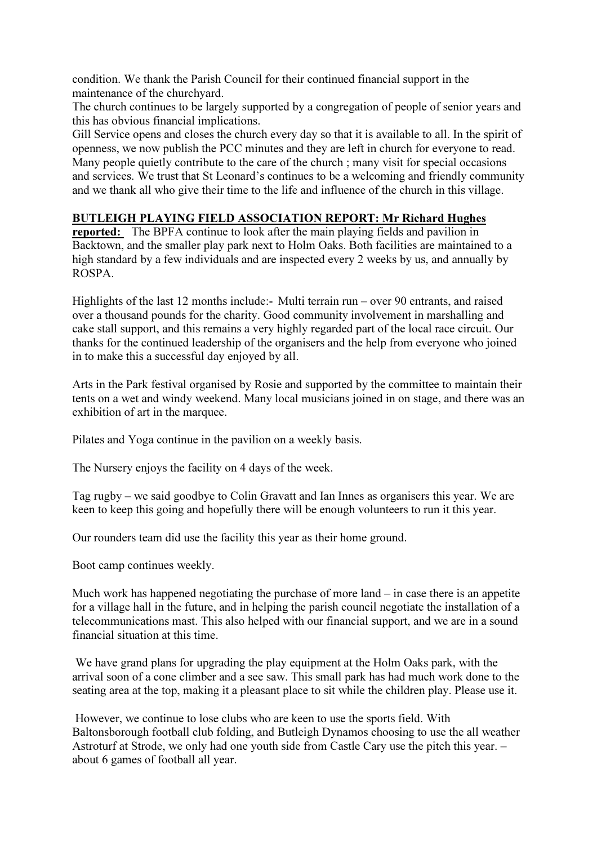condition. We thank the Parish Council for their continued financial support in the maintenance of the churchyard.

The church continues to be largely supported by a congregation of people of senior years and this has obvious financial implications.

Gill Service opens and closes the church every day so that it is available to all. In the spirit of openness, we now publish the PCC minutes and they are left in church for everyone to read. Many people quietly contribute to the care of the church ; many visit for special occasions and services. We trust that St Leonard's continues to be a welcoming and friendly community and we thank all who give their time to the life and influence of the church in this village.

## BUTLEIGH PLAYING FIELD ASSOCIATION REPORT: Mr Richard Hughes

reported: The BPFA continue to look after the main playing fields and pavilion in Backtown, and the smaller play park next to Holm Oaks. Both facilities are maintained to a high standard by a few individuals and are inspected every 2 weeks by us, and annually by ROSPA.

Highlights of the last 12 months include:- Multi terrain run – over 90 entrants, and raised over a thousand pounds for the charity. Good community involvement in marshalling and cake stall support, and this remains a very highly regarded part of the local race circuit. Our thanks for the continued leadership of the organisers and the help from everyone who joined in to make this a successful day enjoyed by all.

Arts in the Park festival organised by Rosie and supported by the committee to maintain their tents on a wet and windy weekend. Many local musicians joined in on stage, and there was an exhibition of art in the marquee.

Pilates and Yoga continue in the pavilion on a weekly basis.

The Nursery enjoys the facility on 4 days of the week.

Tag rugby – we said goodbye to Colin Gravatt and Ian Innes as organisers this year. We are keen to keep this going and hopefully there will be enough volunteers to run it this year.

Our rounders team did use the facility this year as their home ground.

Boot camp continues weekly.

Much work has happened negotiating the purchase of more land – in case there is an appetite for a village hall in the future, and in helping the parish council negotiate the installation of a telecommunications mast. This also helped with our financial support, and we are in a sound financial situation at this time.

 We have grand plans for upgrading the play equipment at the Holm Oaks park, with the arrival soon of a cone climber and a see saw. This small park has had much work done to the seating area at the top, making it a pleasant place to sit while the children play. Please use it.

 However, we continue to lose clubs who are keen to use the sports field. With Baltonsborough football club folding, and Butleigh Dynamos choosing to use the all weather Astroturf at Strode, we only had one youth side from Castle Cary use the pitch this year. – about 6 games of football all year.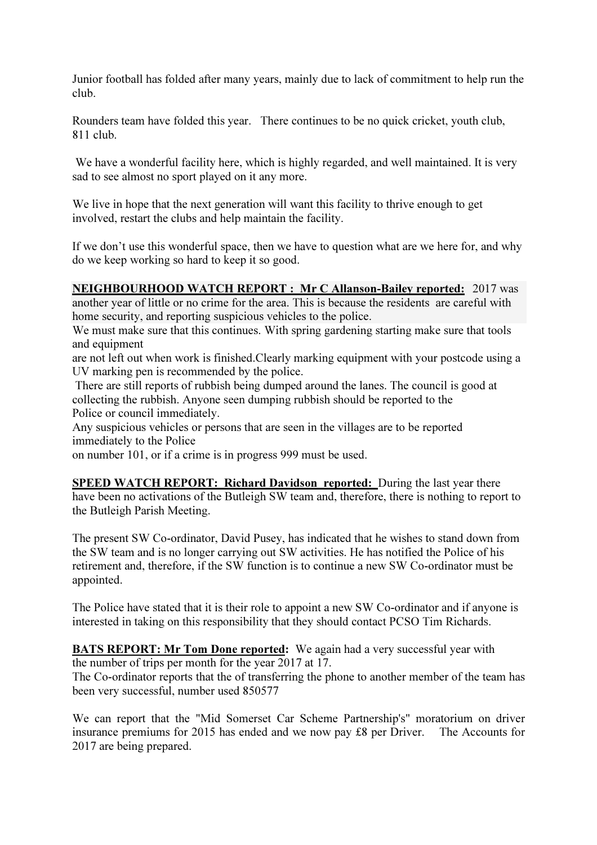Junior football has folded after many years, mainly due to lack of commitment to help run the club.

Rounders team have folded this year. There continues to be no quick cricket, youth club, 811 club.

We have a wonderful facility here, which is highly regarded, and well maintained. It is very sad to see almost no sport played on it any more.

We live in hope that the next generation will want this facility to thrive enough to get involved, restart the clubs and help maintain the facility.

If we don't use this wonderful space, then we have to question what are we here for, and why do we keep working so hard to keep it so good.

# NEIGHBOURHOOD WATCH REPORT : Mr C Allanson-Bailey reported: 2017 was

another year of little or no crime for the area. This is because the residents are careful with home security, and reporting suspicious vehicles to the police.

We must make sure that this continues. With spring gardening starting make sure that tools and equipment

are not left out when work is finished.Clearly marking equipment with your postcode using a UV marking pen is recommended by the police.

 There are still reports of rubbish being dumped around the lanes. The council is good at collecting the rubbish. Anyone seen dumping rubbish should be reported to the Police or council immediately.

Any suspicious vehicles or persons that are seen in the villages are to be reported immediately to the Police

on number 101, or if a crime is in progress 999 must be used.

SPEED WATCH REPORT: Richard Davidson reported: During the last year there have been no activations of the Butleigh SW team and, therefore, there is nothing to report to the Butleigh Parish Meeting.

The present SW Co-ordinator, David Pusey, has indicated that he wishes to stand down from the SW team and is no longer carrying out SW activities. He has notified the Police of his retirement and, therefore, if the SW function is to continue a new SW Co-ordinator must be appointed.

The Police have stated that it is their role to appoint a new SW Co-ordinator and if anyone is interested in taking on this responsibility that they should contact PCSO Tim Richards.

BATS REPORT: Mr Tom Done reported: We again had a very successful year with the number of trips per month for the year 2017 at 17.

The Co-ordinator reports that the of transferring the phone to another member of the team has been very successful, number used 850577

We can report that the "Mid Somerset Car Scheme Partnership's" moratorium on driver insurance premiums for 2015 has ended and we now pay £8 per Driver. The Accounts for 2017 are being prepared.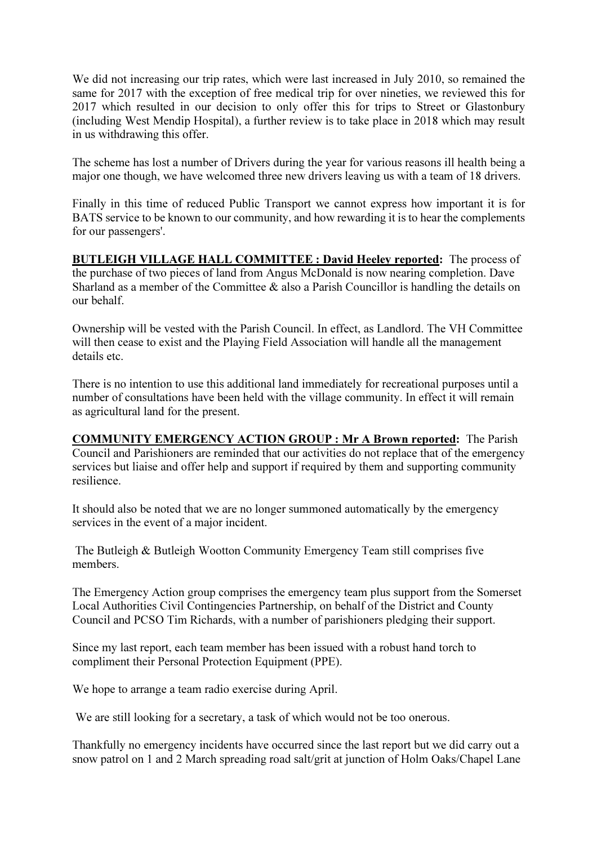We did not increasing our trip rates, which were last increased in July 2010, so remained the same for 2017 with the exception of free medical trip for over nineties, we reviewed this for 2017 which resulted in our decision to only offer this for trips to Street or Glastonbury (including West Mendip Hospital), a further review is to take place in 2018 which may result in us withdrawing this offer.

The scheme has lost a number of Drivers during the year for various reasons ill health being a major one though, we have welcomed three new drivers leaving us with a team of 18 drivers.

Finally in this time of reduced Public Transport we cannot express how important it is for BATS service to be known to our community, and how rewarding it is to hear the complements for our passengers'.

BUTLEIGH VILLAGE HALL COMMITTEE : David Heeley reported: The process of the purchase of two pieces of land from Angus McDonald is now nearing completion. Dave Sharland as a member of the Committee  $\&$  also a Parish Councillor is handling the details on our behalf.

Ownership will be vested with the Parish Council. In effect, as Landlord. The VH Committee will then cease to exist and the Playing Field Association will handle all the management details etc.

There is no intention to use this additional land immediately for recreational purposes until a number of consultations have been held with the village community. In effect it will remain as agricultural land for the present.

COMMUNITY EMERGENCY ACTION GROUP : Mr A Brown reported: The Parish Council and Parishioners are reminded that our activities do not replace that of the emergency services but liaise and offer help and support if required by them and supporting community resilience.

It should also be noted that we are no longer summoned automatically by the emergency services in the event of a major incident.

 The Butleigh & Butleigh Wootton Community Emergency Team still comprises five members.

The Emergency Action group comprises the emergency team plus support from the Somerset Local Authorities Civil Contingencies Partnership, on behalf of the District and County Council and PCSO Tim Richards, with a number of parishioners pledging their support.

Since my last report, each team member has been issued with a robust hand torch to compliment their Personal Protection Equipment (PPE).

We hope to arrange a team radio exercise during April.

We are still looking for a secretary, a task of which would not be too onerous.

Thankfully no emergency incidents have occurred since the last report but we did carry out a snow patrol on 1 and 2 March spreading road salt/grit at junction of Holm Oaks/Chapel Lane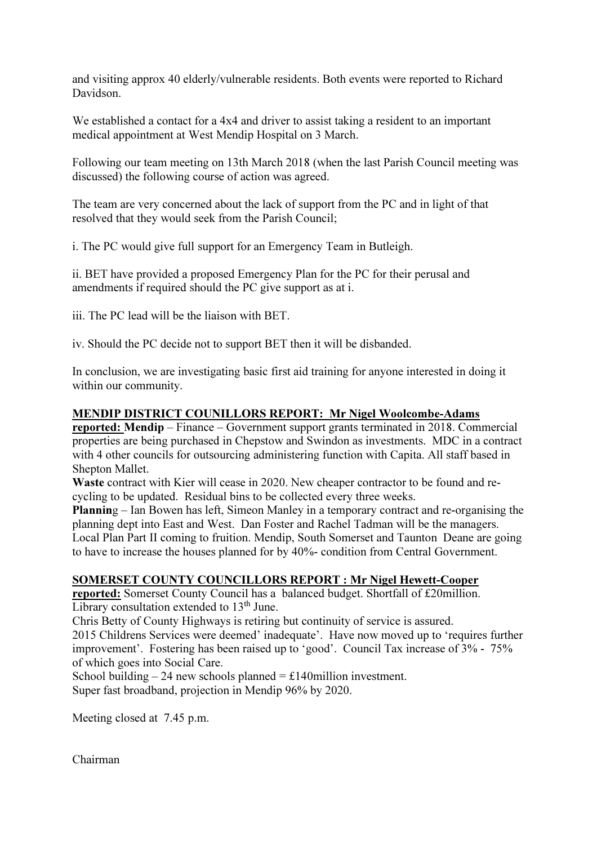and visiting approx 40 elderly/vulnerable residents. Both events were reported to Richard Davidson.

We established a contact for a 4x4 and driver to assist taking a resident to an important medical appointment at West Mendip Hospital on 3 March.

Following our team meeting on 13th March 2018 (when the last Parish Council meeting was discussed) the following course of action was agreed.

The team are very concerned about the lack of support from the PC and in light of that resolved that they would seek from the Parish Council;

i. The PC would give full support for an Emergency Team in Butleigh.

ii. BET have provided a proposed Emergency Plan for the PC for their perusal and amendments if required should the PC give support as at i.

iii. The PC lead will be the liaison with BET.

iv. Should the PC decide not to support BET then it will be disbanded.

In conclusion, we are investigating basic first aid training for anyone interested in doing it within our community.

# MENDIP DISTRICT COUNILLORS REPORT: Mr Nigel Woolcombe-Adams

reported: Mendip – Finance – Government support grants terminated in 2018. Commercial properties are being purchased in Chepstow and Swindon as investments. MDC in a contract with 4 other councils for outsourcing administering function with Capita. All staff based in Shepton Mallet.

Waste contract with Kier will cease in 2020. New cheaper contractor to be found and recycling to be updated. Residual bins to be collected every three weeks.

Planning – Ian Bowen has left, Simeon Manley in a temporary contract and re-organising the planning dept into East and West. Dan Foster and Rachel Tadman will be the managers. Local Plan Part II coming to fruition. Mendip, South Somerset and Taunton Deane are going to have to increase the houses planned for by 40%- condition from Central Government.

# SOMERSET COUNTY COUNCILLORS REPORT : Mr Nigel Hewett-Cooper

reported: Somerset County Council has a balanced budget. Shortfall of £20million. Library consultation extended to  $13<sup>th</sup>$  June.

Chris Betty of County Highways is retiring but continuity of service is assured.

2015 Childrens Services were deemed' inadequate'. Have now moved up to 'requires further improvement'. Fostering has been raised up to 'good'. Council Tax increase of 3% - 75% of which goes into Social Care.

School building  $-24$  new schools planned  $= \pounds 140$ million investment. Super fast broadband, projection in Mendip 96% by 2020.

Meeting closed at 7.45 p.m.

Chairman